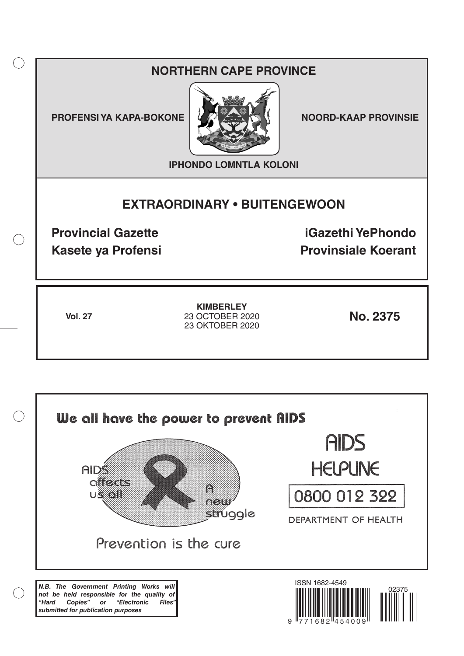## **NORTHERN CAPE PROVINCE**

**PROFENSI YA KAPA-BOKONE NOORD-KAAP PROVINSIE** 

 $($ )



**IPHONDO LOMNTLA KOLONI**

# **EXTRAORDINARY • BUITENGEWOON**

**Provincial Gazette iGazethi YePhondo Kasete ya Profensi Provinsiale Koerant** 

**Vol. 27 No. 2375** 23 OCTOBER 2020 **KIMBERLEY** 23 OKTOBER 2020

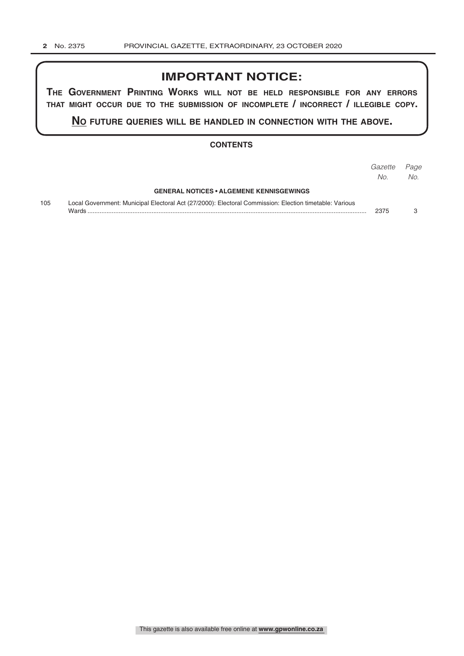### **IMPORTANT NOTICE:**

**The GovernmenT PrinTinG Works Will noT be held resPonsible for any errors ThaT miGhT occur due To The submission of incomPleTe / incorrecT / illeGible coPy.**

**no fuTure queries Will be handled in connecTion WiTh The above.**

#### **CONTENTS**

|     |                                                                                                                 | Gazette<br>No. | Page<br>No. |
|-----|-----------------------------------------------------------------------------------------------------------------|----------------|-------------|
|     | <b>GENERAL NOTICES • ALGEMENE KENNISGEWINGS</b>                                                                 |                |             |
| 105 | Local Government: Municipal Electoral Act (27/2000): Electoral Commission: Election timetable: Various<br>Wards | 2375           |             |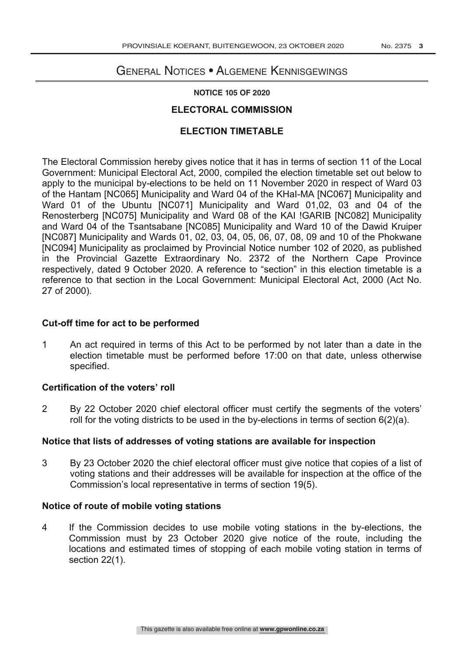### General Notices • Algemene Kennisgewings

#### **NOTICE 105 OF 2020**

#### **ELECTORAL COMMISSION**

#### **ELECTION TIMETABLE**

The Electoral Commission hereby gives notice that it has in terms of section 11 of the Local Government: Municipal Electoral Act, 2000, compiled the election timetable set out below to apply to the municipal by-elections to be held on 11 November 2020 in respect of Ward 03 of the Hantam [NC065] Municipality and Ward 04 of the KHaI-MA [NC067] Municipality and Ward 01 of the Ubuntu [NC071] Municipality and Ward 01,02, 03 and 04 of the Renosterberg [NC075] Municipality and Ward 08 of the KAI !GARIB [NC082] Municipality and Ward 04 of the Tsantsabane [NC085] Municipality and Ward 10 of the Dawid Kruiper [NC087] Municipality and Wards 01, 02, 03, 04, 05, 06, 07, 08, 09 and 10 of the Phokwane [NC094] Municipality as proclaimed by Provincial Notice number 102 of 2020, as published in the Provincial Gazette Extraordinary No. 2372 of the Northern Cape Province respectively, dated 9 October 2020. A reference to "section" in this election timetable is a reference to that section in the Local Government: Municipal Electoral Act, 2000 (Act No. 27 of 2000).

#### **Cut-off time for act to be performed**

1 An act required in terms of this Act to be performed by not later than a date in the election timetable must be performed before 17:00 on that date, unless otherwise specified.

#### **Certification of the voters' roll**

2 By 22 October 2020 chief electoral officer must certify the segments of the voters' roll for the voting districts to be used in the by-elections in terms of section 6(2)(a).

#### **Notice that lists of addresses of voting stations are available for inspection**

3 By 23 October 2020 the chief electoral officer must give notice that copies of a list of voting stations and their addresses will be available for inspection at the office of the Commission's local representative in terms of section 19(5).

#### **Notice of route of mobile voting stations**

4 If the Commission decides to use mobile voting stations in the by-elections, the Commission must by 23 October 2020 give notice of the route, including the locations and estimated times of stopping of each mobile voting station in terms of section 22(1).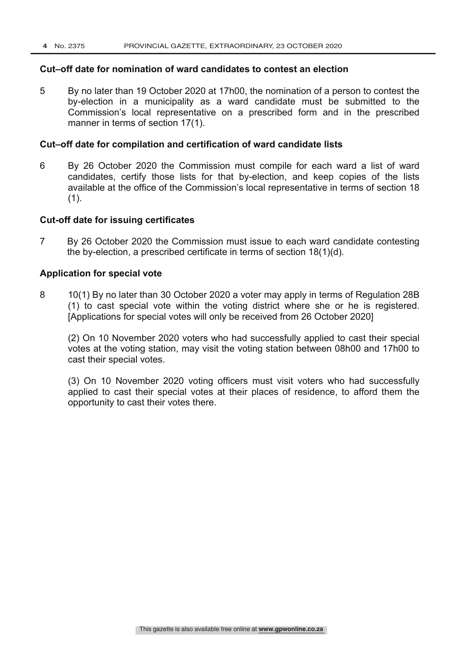#### **Cut–off date for nomination of ward candidates to contest an election**

5 By no later than 19 October 2020 at 17h00, the nomination of a person to contest the by-election in a municipality as a ward candidate must be submitted to the Commission's local representative on a prescribed form and in the prescribed manner in terms of section 17(1).

#### **Cut–off date for compilation and certification of ward candidate lists**

6 By 26 October 2020 the Commission must compile for each ward a list of ward candidates, certify those lists for that by-election, and keep copies of the lists available at the office of the Commission's local representative in terms of section 18 (1).

#### **Cut-off date for issuing certificates**

7 By 26 October 2020 the Commission must issue to each ward candidate contesting the by-election, a prescribed certificate in terms of section 18(1)(d).

#### **Application for special vote**

8 10(1) By no later than 30 October 2020 a voter may apply in terms of Regulation 28B (1) to cast special vote within the voting district where she or he is registered. [Applications for special votes will only be received from 26 October 2020]

(2) On 10 November 2020 voters who had successfully applied to cast their special votes at the voting station, may visit the voting station between 08h00 and 17h00 to cast their special votes.

(3) On 10 November 2020 voting officers must visit voters who had successfully applied to cast their special votes at their places of residence, to afford them the opportunity to cast their votes there.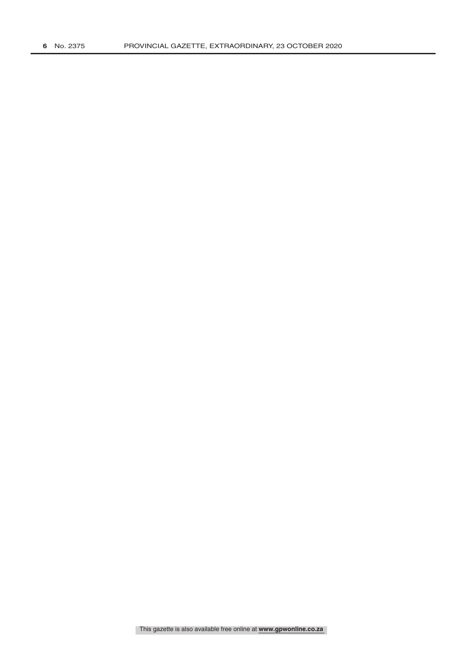This gazette is also available free online at **www.gpwonline.co.za**